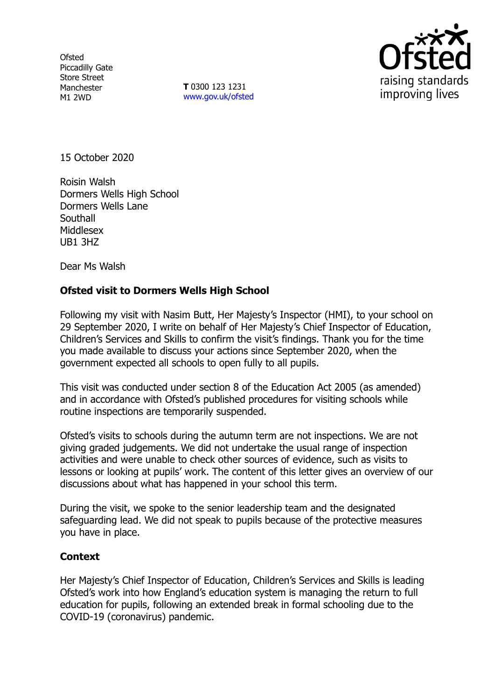**Ofsted** Piccadilly Gate Store Street Manchester M1 2WD

**T** 0300 123 1231 [www.gov.uk/ofsted](http://www.gov.uk/ofsted)



15 October 2020

Roisin Walsh Dormers Wells High School Dormers Wells Lane **Southall** Middlesex UB1 3HZ

Dear Ms Walsh

## **Ofsted visit to Dormers Wells High School**

Following my visit with Nasim Butt, Her Majesty's Inspector (HMI), to your school on 29 September 2020, I write on behalf of Her Majesty's Chief Inspector of Education, Children's Services and Skills to confirm the visit's findings. Thank you for the time you made available to discuss your actions since September 2020, when the government expected all schools to open fully to all pupils.

This visit was conducted under section 8 of the Education Act 2005 (as amended) and in accordance with Ofsted's published procedures for visiting schools while routine inspections are temporarily suspended.

Ofsted's visits to schools during the autumn term are not inspections. We are not giving graded judgements. We did not undertake the usual range of inspection activities and were unable to check other sources of evidence, such as visits to lessons or looking at pupils' work. The content of this letter gives an overview of our discussions about what has happened in your school this term.

During the visit, we spoke to the senior leadership team and the designated safeguarding lead. We did not speak to pupils because of the protective measures you have in place.

## **Context**

Her Majesty's Chief Inspector of Education, Children's Services and Skills is leading Ofsted's work into how England's education system is managing the return to full education for pupils, following an extended break in formal schooling due to the COVID-19 (coronavirus) pandemic.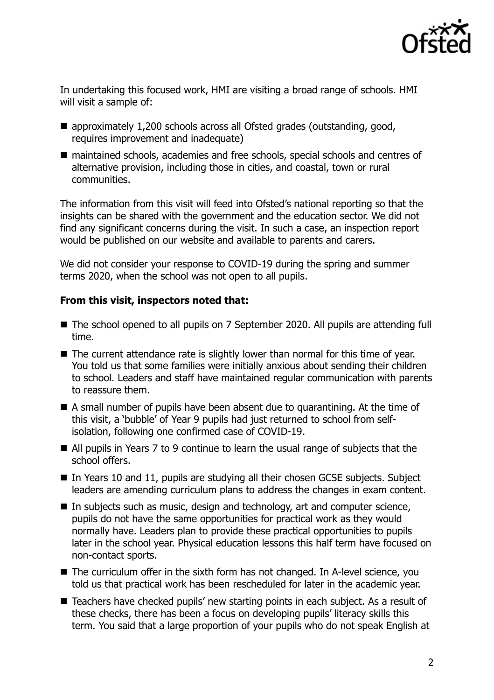

In undertaking this focused work, HMI are visiting a broad range of schools. HMI will visit a sample of:

- approximately 1,200 schools across all Ofsted grades (outstanding, good, requires improvement and inadequate)
- maintained schools, academies and free schools, special schools and centres of alternative provision, including those in cities, and coastal, town or rural communities.

The information from this visit will feed into Ofsted's national reporting so that the insights can be shared with the government and the education sector. We did not find any significant concerns during the visit. In such a case, an inspection report would be published on our website and available to parents and carers.

We did not consider your response to COVID-19 during the spring and summer terms 2020, when the school was not open to all pupils.

## **From this visit, inspectors noted that:**

- The school opened to all pupils on 7 September 2020. All pupils are attending full time.
- The current attendance rate is slightly lower than normal for this time of year. You told us that some families were initially anxious about sending their children to school. Leaders and staff have maintained regular communication with parents to reassure them.
- A small number of pupils have been absent due to quarantining. At the time of this visit, a 'bubble' of Year 9 pupils had just returned to school from selfisolation, following one confirmed case of COVID-19.
- All pupils in Years 7 to 9 continue to learn the usual range of subjects that the school offers.
- In Years 10 and 11, pupils are studying all their chosen GCSE subjects. Subject leaders are amending curriculum plans to address the changes in exam content.
- In subjects such as music, design and technology, art and computer science, pupils do not have the same opportunities for practical work as they would normally have. Leaders plan to provide these practical opportunities to pupils later in the school year. Physical education lessons this half term have focused on non-contact sports.
- The curriculum offer in the sixth form has not changed. In A-level science, you told us that practical work has been rescheduled for later in the academic year.
- Teachers have checked pupils' new starting points in each subject. As a result of these checks, there has been a focus on developing pupils' literacy skills this term. You said that a large proportion of your pupils who do not speak English at